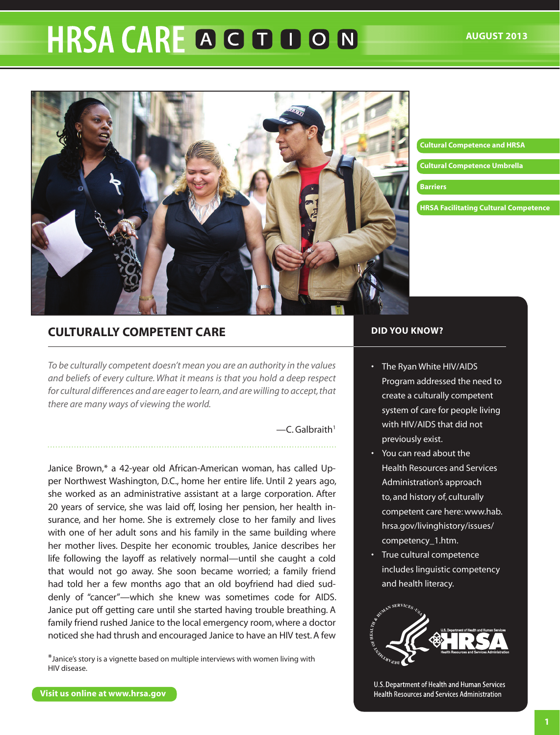# **HRSA CARE A G D D O N**



#### **[Cultural Competence and HRSA](#page-1-0)**

**[Cultural Competence Umbrella](#page-2-0)**

#### **[Barriers](#page-4-0)**

**[HRSA Facilitating Cultural Competence](#page-5-0)**

# **Culturally Competent Care**

*To be culturally competent doesn't mean you are an authority in the values and beliefs of every culture. What it means is that you hold a deep respect for cultural differences and are eager to learn, and are willing to accept, that there are many ways of viewing the world.*

 $-C$ . Galbraith<sup>1</sup>

Janice Brown,\* a 42-year old African-American woman, has called Upper Northwest Washington, D.C., home her entire life. Until 2 years ago, she worked as an administrative assistant at a large corporation. After 20 years of service, she was laid off, losing her pension, her health insurance, and her home. She is extremely close to her family and lives with one of her adult sons and his family in the same building where her mother lives. Despite her economic troubles, Janice describes her life following the layoff as relatively normal—until she caught a cold that would not go away. She soon became worried; a family friend had told her a few months ago that an old boyfriend had died suddenly of "cancer"—which she knew was sometimes code for AIDS. Janice put off getting care until she started having trouble breathing. A family friend rushed Janice to the local emergency room, where a doctor noticed she had thrush and encouraged Janice to have an HIV test. A few

\*Janice's story is a vignette based on multiple interviews with women living with HIV disease.

#### **DID YOU KNOW?**

- • The Ryan White HIV/AIDS Program addressed the need to create a culturally competent system of care for people living with HIV/AIDS that did not previously exist.
- • You can read about the Health Resources and Services Administration's approach to, and history of, culturally competent care here: [www.hab.](www.hab.hrsa.gov/livinghistory/issues/competency_1.htm) [hrsa.gov/livinghistory/issues/](www.hab.hrsa.gov/livinghistory/issues/competency_1.htm) [competency\\_1.htm.](www.hab.hrsa.gov/livinghistory/issues/competency_1.htm)
- True cultural competence includes linguistic competency and health literacy.



U.S. Department of Health and Human Services Health Resources and Services Administration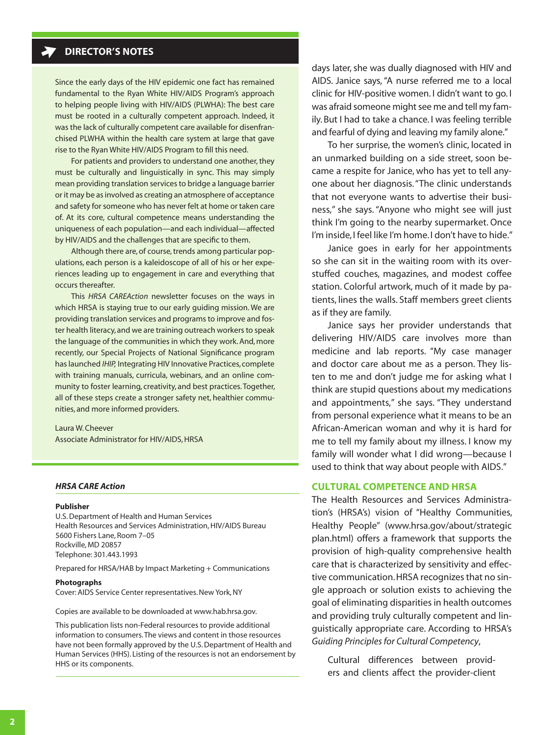## <span id="page-1-0"></span>**DIRECTOR'S NOTES**

Since the early days of the HIV epidemic one fact has remained fundamental to the Ryan White HIV/AIDS Program's approach to helping people living with HIV/AIDS (PLWHA): The best care must be rooted in a culturally competent approach. Indeed, it was the lack of culturally competent care available for disenfranchised PLWHA within the health care system at large that gave rise to the Ryan White HIV/AIDS Program to fill this need.

For patients and providers to understand one another, they must be culturally and linguistically in sync. This may simply mean providing translation services to bridge a language barrier or it may be as involved as creating an atmosphere of acceptance and safety for someone who has never felt at home or taken care of. At its core, cultural competence means understanding the uniqueness of each population—and each individual—affected by HIV/AIDS and the challenges that are specific to them.

Although there are, of course, trends among particular populations, each person is a kaleidoscope of all of his or her experiences leading up to engagement in care and everything that occurs thereafter.

 This *HRSA CAREAction* newsletter focuses on the ways in which HRSA is staying true to our early guiding mission. We are providing translation services and programs to improve and foster health literacy, and we are training outreach workers to speak the language of the communities in which they work. And, more recently, our Special Projects of National Significance program has launched *IHIP,* Integrating HIV Innovative Practices, complete with training manuals, curricula, webinars, and an online community to foster learning, creativity, and best practices.Together, all of these steps create a stronger safety net, healthier communities, and more informed providers.

Laura W.Cheever Associate Administrator for HIV/AIDS, HRSA

## *HRSA CARE Action*

#### **Publisher**

U.S. Department of Health and Human Services Health Resources and Services Administration, HIV/AIDS Bureau 5600 Fishers Lane, Room 7–05 Rockville, MD 20857 Telephone: 301.443.1993

Prepared for HRSA/HAB by Impact Marketing + Communications

#### **Photographs**

Cover:AIDS Service Center representatives.New York,NY

Copies are available to be downloaded at<www.hab.hrsa.gov>.

This publication lists non-Federal resources to provide additional information to consumers.The views and content in those resources have not been formally approved by the U.S. Department of Health and Human Services (HHS). Listing of the resources is not an endorsement by HHS or its components.

days later, she was dually diagnosed with HIV and AIDS. Janice says, "A nurse referred me to a local clinic for HIV-positive women. I didn't want to go. I was afraid someone might see me and tell my family. But I had to take a chance. I was feeling terrible and fearful of dying and leaving my family alone."

To her surprise, the women's clinic, located in an unmarked building on a side street, soon became a respite for Janice, who has yet to tell anyone about her diagnosis."The clinic understands that not everyone wants to advertise their business," she says. "Anyone who might see will just think I'm going to the nearby supermarket. Once I'm inside, I feel like I'm home. I don't have to hide."

Janice goes in early for her appointments so she can sit in the waiting room with its overstuffed couches, magazines, and modest coffee station. Colorful artwork, much of it made by patients, lines the walls. Staff members greet clients as if they are family.

Janice says her provider understands that delivering HIV/AIDS care involves more than medicine and lab reports. "My case manager and doctor care about me as a person. They listen to me and don't judge me for asking what I think are stupid questions about my medications and appointments," she says. "They understand from personal experience what it means to be an African-American woman and why it is hard for me to tell my family about my illness. I know my family will wonder what I did wrong—because I used to think that way about people with AIDS."

## **Cultural Competence and HRSA**

The Health Resources and Services Administration's (HRSA's) vision of "Healthy Communities, Healthy People" [\(www.hrsa.gov/about/strategic](www.hrsa.gov/about/strategicplan.html) [plan.html\)](www.hrsa.gov/about/strategicplan.html) offers a framework that supports the provision of high-quality comprehensive health care that is characterized by sensitivity and effective communication. HRSA recognizes that no single approach or solution exists to achieving the goal of eliminating disparities in health outcomes and providing truly culturally competent and linguistically appropriate care. According to HRSA's *Guiding Principles for Cultural Competency*,

Cultural differences between providers and clients affect the provider-client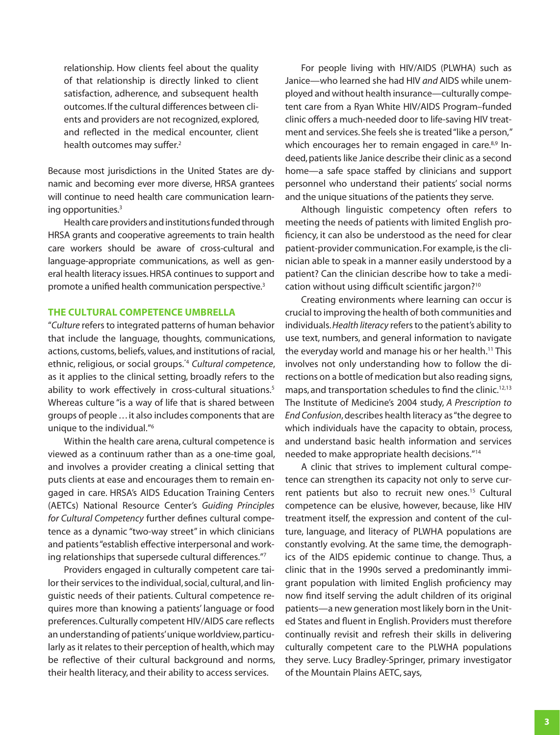<span id="page-2-0"></span>relationship. How clients feel about the quality of that relationship is directly linked to client satisfaction, adherence, and subsequent health outcomes. If the cultural differences between clients and providers are not recognized, explored, and reflected in the medical encounter, client health outcomes may suffer.<sup>2</sup>

Because most jurisdictions in the United States are dynamic and becoming ever more diverse, HRSA grantees will continue to need health care communication learning opportunities.<sup>3</sup>

Health care providers and institutions funded through HRSA grants and cooperative agreements to train health care workers should be aware of cross-cultural and language-appropriate communications, as well as general health literacy issues. HRSA continues to support and promote a unified health communication perspective.3

## **The Cultural Competence Umbrella**

"*Culture* refers to integrated patterns of human behavior that include the language, thoughts, communications, actions, customs, beliefs, values, and institutions of racial, ethnic, religious, or social groups."4 *Cultural competence*, as it applies to the clinical setting, broadly refers to the ability to work effectively in cross-cultural situations.<sup>5</sup> Whereas culture "is a way of life that is shared between groups of people . . . it also includes components that are unique to the individual."6

Within the health care arena, cultural competence is viewed as a continuum rather than as a one-time goal, and involves a provider creating a clinical setting that puts clients at ease and encourages them to remain engaged in care. HRSA's AIDS Education Training Centers (AETCs) National Resource Center's *Guiding Principles for Cultural Competency* further defines cultural competence as a dynamic "two-way street" in which clinicians and patients "establish effective interpersonal and working relationships that supersede cultural differences."<sup>7</sup>

Providers engaged in culturally competent care tailor their services to the individual, social, cultural, and linguistic needs of their patients. Cultural competence requires more than knowing a patients' language or food preferences.Culturally competent HIV/AIDS care reflects an understanding of patients' unique worldview, particularly as it relates to their perception of health, which may be reflective of their cultural background and norms, their health literacy, and their ability to access services.

For people living with HIV/AIDS (PLWHA) such as Janice—who learned she had HIV *and* AIDS while unemployed and without health insurance—culturally competent care from a Ryan White HIV/AIDS Program–funded clinic offers a much-needed door to life-saving HIV treatment and services. She feels she is treated "like a person," which encourages her to remain engaged in care.<sup>8,9</sup> Indeed, patients like Janice describe their clinic as a second home—a safe space staffed by clinicians and support personnel who understand their patients' social norms and the unique situations of the patients they serve.

Although linguistic competency often refers to meeting the needs of patients with limited English proficiency, it can also be understood as the need for clear patient-provider communication. For example, is the clinician able to speak in a manner easily understood by a patient? Can the clinician describe how to take a medication without using difficult scientific jargon?<sup>10</sup>

Creating environments where learning can occur is crucial to improving the health of both communities and individuals. *Health literacy* refers to the patient's ability to use text, numbers, and general information to navigate the everyday world and manage his or her health.<sup>11</sup> This involves not only understanding how to follow the directions on a bottle of medication but also reading signs, maps, and transportation schedules to find the clinic.<sup>12,13</sup> The Institute of Medicine's 2004 study, *A Prescription to End Confusion*, describes health literacy as "the degree to which individuals have the capacity to obtain, process, and understand basic health information and services needed to make appropriate health decisions."14

A clinic that strives to implement cultural competence can strengthen its capacity not only to serve current patients but also to recruit new ones.<sup>15</sup> Cultural competence can be elusive, however, because, like HIV treatment itself, the expression and content of the culture, language, and literacy of PLWHA populations are constantly evolving. At the same time, the demographics of the AIDS epidemic continue to change. Thus, a clinic that in the 1990s served a predominantly immigrant population with limited English proficiency may now find itself serving the adult children of its original patients—a new generation most likely born in the United States and fluent in English. Providers must therefore continually revisit and refresh their skills in delivering culturally competent care to the PLWHA populations they serve. Lucy Bradley-Springer, primary investigator of the Mountain Plains AETC, says,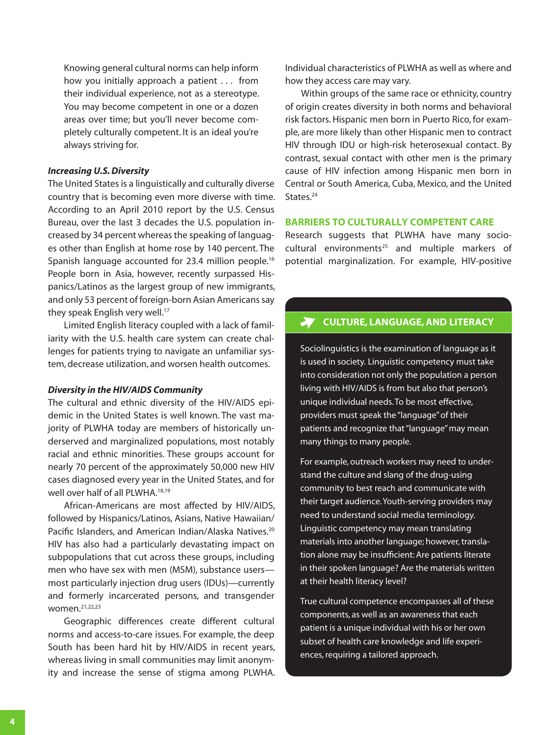Knowing general cultural norms can help inform how you initially approach a patient . . . from their individual experience, not as a stereotype. You may become competent in one or a dozen areas over time; but you'll never become completely culturally competent. It is an ideal you're always striving for.

## *Increasing U.S. Diversity*

The United States is a linguistically and culturally diverse country that is becoming even more diverse with time. According to an April 2010 report by the U.S. Census Bureau, over the last 3 decades the U.S. population increased by 34 percent whereasthe speaking of languages other than English at home rose by 140 percent. The Spanish language accounted for 23.4 million people.<sup>16</sup> People born in Asia, however, recently surpassed Hispanics/Latinos as the largest group of new immigrants, and only 53 percent of foreign-born Asian Americans say they speak English very well.<sup>17</sup>

[Limited](interpreters.Limited) English literacy coupled with a lack of familiarity with the U.S. health care system can create challenges for patients trying to navigate an unfamiliar system, decrease utilization, and worsen health outcomes.

## *Diversity in the HIV/AIDS Community*

The cultural and ethnic diversity of the HIV/AIDS epidemic in the United States is well known. The vast majority of PLWHA today are members of historically underserved and marginalized populations, most notably racial and ethnic minorities. These groups account for nearly 70 percent of the approximately 50,000 new HIV cases diagnosed every year in the United States, and for well over half of all PLWHA.18,19

African-Americans are most affected by HIV/AIDS, followed by Hispanics/Latinos, Asians, Native Hawaiian/ Pacific Islanders, and American Indian/Alaska Natives.<sup>20</sup> HIV has also had a particularly devastating impact on subpopulations that cut across these groups, including men who have sex with men (MSM), substance users most particularly injection drug users (IDUs)—currently and formerly incarcerated persons, and transgender women.21,22,23

Geographic differences create different cultural norms and access-to-care issues. For example, the deep South has been hard hit by HIV/AIDS in recent years, whereas living in small communities may limit anonymity and increase the sense of stigma among PLWHA.

Individual characteristics of PLWHA as well as where and how they access care may vary.

Within groups of the same race or ethnicity, country of origin creates diversity in both norms and behavioral risk factors.Hispanic men born in Puerto Rico, for example, are more likely than other Hispanic men to contract HIV through IDU or high-risk heterosexual contact. By contrast, sexual contact with other men is the primary cause of HIV infection among Hispanic men born in Central or South America, Cuba, Mexico, and the United States.<sup>24</sup>

## **Barriers to Culturally Competent Care**

Research suggests that PLWHA have many sociocultural environments<sup>25</sup> and multiple markers of potential marginalization. For example, HIV-positive

#### **Culture, Language, and Literacy**  $\blacktriangledown$

Sociolinguistics is the examination of language as it is used in society. Linguistic competency must take into consideration not only the population a person living with HIV/AIDS is from but also that person's unique individual needs.To be most effective, providers must speak the "language" of their patients and recognize that "language" may mean many things to many people.

For example, outreach workers may need to understand the culture and slang of the drug-using community to best reach and communicate with their target audience.Youth-serving providers may need to understand social media terminology. Linguistic competency may mean translating materials into another language; however, translation alone may be insufficient:Are patients literate in their spoken language? Are the materials written at their health literacy level?

True cultural competence encompasses all of these components, as well as an awareness that each patient is a unique individual with his or her own subset of health care knowledge and life experiences, requiring a tailored approach.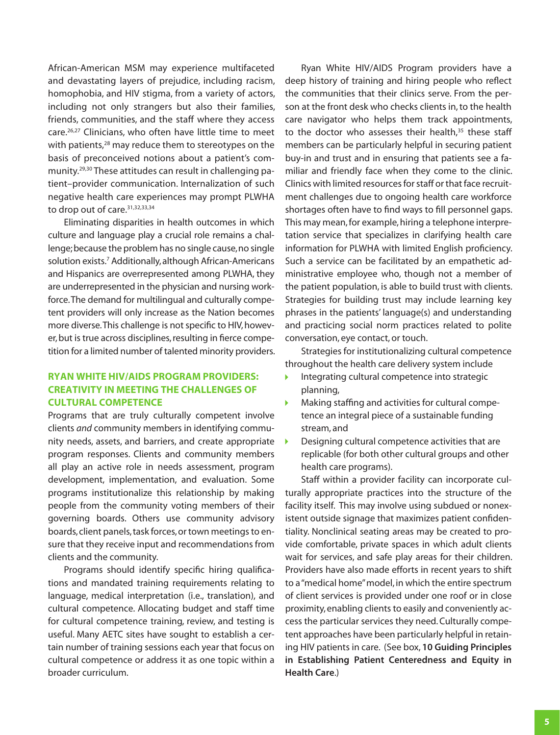<span id="page-4-0"></span>African-American MSM may experience multifaceted and devastating layers of prejudice, including racism, homophobia, and HIV stigma, from a variety of actors, including not only strangers but also their families, friends, communities, and the staff where they access care.26,27 Clinicians, who often have little time to meet with patients,<sup>28</sup> may reduce them to stereotypes on the basis of preconceived notions about a patient's community.29,30 These attitudes can result in challenging patient–provider communication. Internalization of such negative health care experiences may prompt PLWHA to drop out of care. 31,32,33,34

Eliminating disparities in health outcomes in which culture and language play a crucial role remains a challenge; because the problem has no single cause, no single solution exists.<sup>7</sup> Additionally, although African-Americans and Hispanics are overrepresented among PLWHA, they are underrepresented in the physician and nursing workforce.The demand for multilingual and culturally competent providers will only increase as the Nation becomes more diverse. This challenge is not specific to HIV, however, but is true across disciplines, resulting in fierce competition for a limited number of talented minority providers.

## **Ryan White HIV/AIDS Program Providers: Creativity in Meeting the Challenges of Cultural Competence**

Programs that are truly culturally competent involve clients *and* community members in identifying community needs, assets, and barriers, and create appropriate program responses. Clients and community members all play an active role in needs assessment, program development, implementation, and evaluation. Some programs institutionalize this relationship by making people from the community voting members of their governing boards. Others use community advisory boards, client panels, task forces, or town meetings to ensure that they receive input and recommendations from clients and the community.

Programs should identify specific hiring qualifications and mandated training requirements relating to language, medical interpretation (i.e., translation), and cultural competence. Allocating budget and staff time for cultural competence training, review, and testing is useful. Many AETC sites have sought to establish a certain number of training sessions each year that focus on cultural competence or address it as one topic within a broader curriculum.

Ryan White HIV/AIDS Program providers have a deep history of training and hiring people who reflect the communities that their clinics serve. From the person at the front desk who checks clients in, to the health care navigator who helps them track appointments, to the doctor who assesses their health,<sup>35</sup> these staff members can be particularly helpful in securing patient buy-in and trust and in ensuring that patients see a familiar and friendly face when they come to the clinic. Clinics with limited resources for staff or that face recruitment challenges due to ongoing health care workforce shortages often have to find ways to fill personnel gaps. This may mean, for example, hiring a telephone interpretation service that specializes in clarifying health care information for PLWHA with limited English proficiency. Such a service can be facilitated by an empathetic administrative employee who, though not a member of the patient population, is able to build trust with clients. Strategies for building trust may include learning key phrases in the patients' language(s) and understanding and practicing social norm practices related to polite conversation, eye contact, or touch.

Strategies for institutionalizing cultural competence throughout the health care delivery system include

- Integrating cultural competence into strategic Þ planning,
- **Making staffing and activities for cultural compe**tence an integral piece of a sustainable funding stream, and
- Designing cultural competence activities that are  $\blacktriangleright$ replicable (for both other cultural groups and other health care programs).

Staff within a provider facility can incorporate culturally appropriate practices into the structure of the facility itself. This may involve using subdued or nonexistent outside signage that maximizes patient confidentiality. Nonclinical seating areas may be created to provide comfortable, private spaces in which adult clients wait for services, and safe play areas for their children. Providers have also made efforts in recent years to shift to a "medical home" model, in which the entire spectrum of client services is provided under one roof or in close proximity, enabling clients to easily and conveniently access the particular services they need. Culturally competent approaches have been particularly helpful in retaining HIV patients in care. (See box, **[10 Guiding Principles](#page-6-0)  [in Establishing Patient Centeredness and Equity in](#page-6-0) [Health Care](#page-6-0)**.)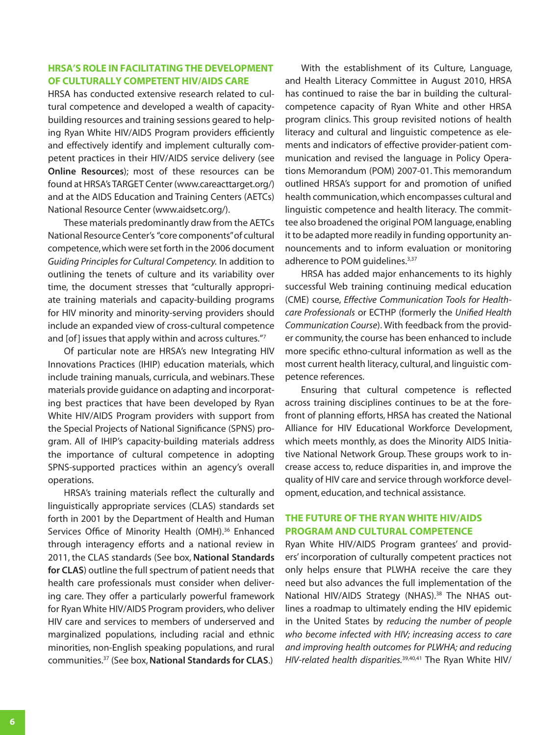## <span id="page-5-0"></span>**HRSA's Role in Facilitating the Development of Culturally Competent HIV/AIDS Care**

HRSA has conducted extensive research related to cultural competence and developed a wealth of capacitybuilding resources and training sessions geared to helping Ryan White HIV/AIDS Program providers efficiently and effectively identify and implement culturally competent practices in their HIV/AIDS service delivery (see **[Online Resources](#page-8-0)**); most of these resources can be found at HRSA's TARGET Center [\(www.careacttarget.org/\)](http://www.careacttarget.org/) and at the AIDS Education and Training Centers (AETCs) National Resource Center [\(www.aidsetc.org/\)](http://www.aidsetc.org/).

These materials predominantly draw from the AETCs National ResourceCenter's "core components"of cultural competence, which were set forth in the 2006 document *Guiding Principles for Cultural Competency.* In addition to outlining the tenets of culture and its variability over time, the document stresses that "culturally appropriate training materials and capacity-building programs for HIV minority and minority-serving providers should include an expanded view of cross-cultural competence and [of] issues that apply within and across cultures."7

Of particular note are HRSA's new Integrating HIV Innovations Practices (IHIP) education materials, which include training manuals, curricula, and webinars. These materials provide guidance on adapting and incorporating best practices that have been developed by Ryan White HIV/AIDS Program providers with support from the Special Projects of National Significance (SPNS) program. All of IHIP's capacity-building materials address the importance of cultural competence in adopting SPNS-supported practices within an agency's overall operations.

HRSA's training materials reflect the culturally and linguistically appropriate services (CLAS) standards set forth in 2001 by the Department of Health and Human Services Office of Minority Health (OMH).<sup>36</sup> Enhanced through interagency efforts and a national review in 2011, the CLAS standards (See box, **[National Standards](#page-7-0) [for C](#page-7-0)LAS**) outline the full spectrum of patient needs that health care professionals must consider when delivering care. They offer a particularly powerful framework for Ryan White HIV/AIDS Program providers, who deliver HIV care and services to members of underserved and marginalized populations, including racial and ethnic minorities, non-English speaking populations, and rural communities.<sup>37</sup> (See box,**[National Standards for](#page-7-0) CLAS**.)

With the establishment of its Culture, Language, and Health Literacy Committee in August 2010, HRSA has continued to raise the bar in building the culturalcompetence capacity of Ryan White and other HRSA program clinics. This group revisited notions of health literacy and cultural and linguistic competence as elements and indicators of effective provider-patient communication and revised the language in Policy Operations Memorandum (POM) 2007-01. This memorandum outlined HRSA's support for and promotion of unified health communication, which encompasses cultural and linguistic competence and health literacy. The committee also broadened the original POM language,enabling it to be adapted more readily in funding opportunity announcements and to inform evaluation or monitoring adherence to POM quidelines.<sup>3,37</sup>

HRSA has added major enhancements to its highly successful Web training continuing medical education (CME) course, *Effective Communication Tools for Healthcare Professionals* or ECTHP (formerly the *Unified Health Communication Course*). With feedback from the provider community, the course has been enhanced to include more specific ethno-cultural information as well as the most current health literacy, cultural, and linguistic competence references.

Ensuring that cultural competence is reflected across training disciplines continues to be at the forefront of planning efforts, HRSA has created the National Alliance for HIV Educational Workforce Development, which meets monthly, as does the Minority AIDS Initiative National Network Group. These groups work to increase access to, reduce disparities in, and improve the quality of HIV care and service through workforce development, education, and technical assistance.

# **The Future of the Ryan White HIV/AIDS Program and Cultural Competence**

Ryan White HIV/AIDS Program grantees' and providers' incorporation of culturally competent practices not only helps ensure that PLWHA receive the care they need but also advances the full implementation of the National HIV/AIDS Strategy (NHAS).<sup>38</sup> The NHAS outlines a roadmap to ultimately ending the HIV epidemic in the United States by *reducing the number of people who become infected with HIV; increasing access to care and improving health outcomes for PLWHA; and reducing HIV-related health disparities.*39,40,41 The Ryan White HIV/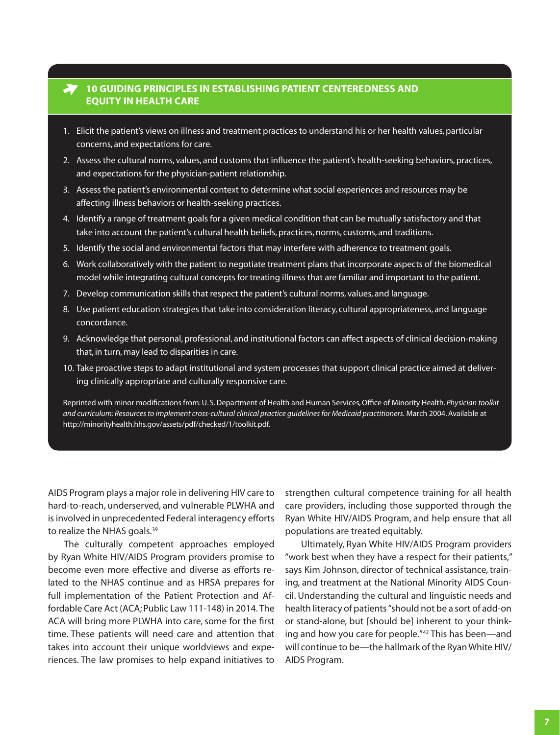# <span id="page-6-0"></span>**10 Guiding Principles in Establishing Patient Centeredness and Equity in Health Care**

- 1. Elicit the patient's views on illness and treatment practices to understand his or her health values, particular concerns, and expectations for care.
- 2. Assess the cultural norms, values, and customs that influence the patient's health-seeking behaviors, practices, and expectations for the physician-patient relationship.
- 3. Assess the patient's environmental context to determine what social experiences and resources may be affecting illness behaviors or health-seeking practices.
- 4. Identify a range of treatment goals for a given medical condition that can be mutually satisfactory and that take into account the patient's cultural health beliefs, practices, norms, customs, and traditions.
- 5. Identify the social and environmental factors that may interfere with adherence to treatment goals.
- 6. Work collaboratively with the patient to negotiate treatment plans that incorporate aspects of the biomedical model while integrating cultural concepts for treating illness that are familiar and important to the patient.
- 7. Develop communication skills that respect the patient's cultural norms, values, and language.
- 8. Use patient education strategies that take into consideration literacy, cultural appropriateness, and language concordance.
- 9. Acknowledge that personal, professional, and institutional factors can affect aspects of clinical decision-making that, in turn, may lead to disparities in care.
- 10. Take proactive steps to adapt institutional and system processes that support clinical practice aimed at delivering clinically appropriate and culturally responsive care.

Reprinted with minor modifications from:U. S.Department of Health and Human Services,Office of Minority Health. *Physician toolkit and curriculum: Resources to implement cross-cultural clinical practice guidelines for Medicaid practitioners.* March 2004.Available at <http://minorityhealth.hhs.gov/assets/pdf/checked/1/toolkit.pdf>.

AIDS Program plays a major role in delivering HIV care to hard-to-reach, underserved, and vulnerable PLWHA and is involved in unprecedented Federal interagency efforts to realize the NHAS goals.<sup>39</sup>

The culturally competent approaches employed by Ryan White HIV/AIDS Program providers promise to become even more effective and diverse as efforts related to the NHAS continue and as HRSA prepares for full implementation of the Patient Protection and Affordable Care Act (ACA;Public Law 111-148) in 2014. The ACA will bring more PLWHA into care, some for the first time. These patients will need care and attention that takes into account their unique worldviews and experiences. The law promises to help expand initiatives to strengthen cultural competence training for all health care providers, including those supported through the Ryan White HIV/AIDS Program, and help ensure that all populations are treated equitably.

Ultimately, Ryan White HIV/AIDS Program providers "work best when they have a respect for their patients," says Kim Johnson, director of technical assistance, training, and treatment at the National Minority AIDS Council. Understanding the cultural and linguistic needs and health literacy of patients "should not be a sort of add-on or stand-alone, but [should be] inherent to your thinking and how you care for people."42 This has been—and will continue to be—the hallmark of the RyanWhite HIV/ AIDS Program.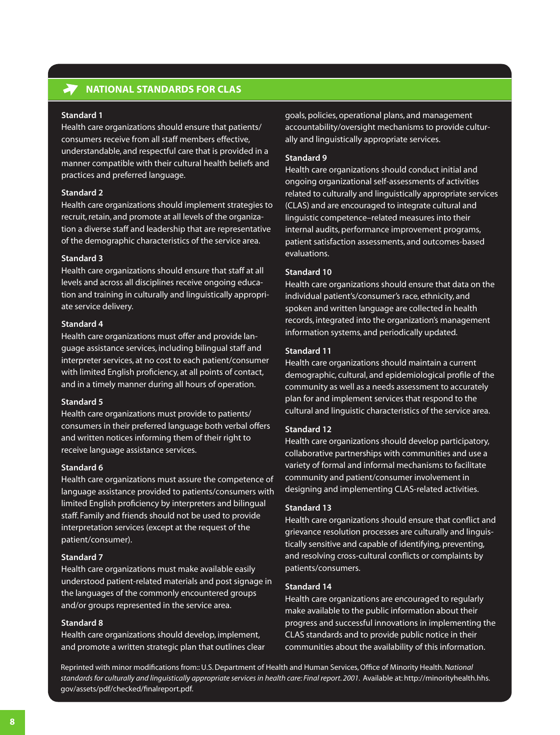# <span id="page-7-0"></span>**National Standards for CLAS**

### **Standard 1**

Health care organizations should ensure that patients/ consumers receive from all staff members effective, understandable, and respectful care that is provided in a manner compatible with their cultural health beliefs and practices and preferred language.

## **Standard 2**

Health care organizations should implement strategies to recruit, retain, and promote at all levels of the organization a diverse staff and leadership that are representative of the demographic characteristics of the service area.

## **Standard 3**

Health care organizations should ensure that staff at all levels and across all disciplines receive ongoing education and training in culturally and linguistically appropriate service delivery.

## **Standard 4**

Health care organizations must offer and provide language assistance services, including bilingual staff and interpreter services, at no cost to each patient/consumer with limited English proficiency, at all points of contact, and in a timely manner during all hours of operation.

#### **Standard 5**

Health care organizations must provide to patients/ consumers in their preferred language both verbal offers and written notices informing them of their right to receive language assistance services.

#### **Standard 6**

Health care organizations must assure the competence of language assistance provided to patients/consumers with limited English proficiency by interpreters and bilingual staff. Family and friends should not be used to provide interpretation services (except at the request of the patient/consumer).

## **Standard 7**

Health care organizations must make available easily understood patient-related materials and post signage in the languages of the commonly encountered groups and/or groups represented in the service area.

#### **Standard 8**

Health care organizations should develop, implement, and promote a written strategic plan that outlines clear

goals, policies, operational plans, and management accountability/oversight mechanisms to provide culturally and linguistically appropriate services.

## **Standard 9**

Health care organizations should conduct initial and ongoing organizational self-assessments of activities related to culturally and linguistically appropriate services (CLAS) and are encouraged to integrate cultural and linguistic competence–related measures into their internal audits, performance improvement programs, patient satisfaction assessments, and outcomes-based evaluations.

## **Standard 10**

Health care organizations should ensure that data on the individual patient's/consumer's race, ethnicity, and spoken and written language are collected in health records, integrated into the organization's management information systems, and periodically updated.

## **Standard 11**

Health care organizations should maintain a current demographic, cultural, and epidemiological profile of the community as well as a needs assessment to accurately plan for and implement services that respond to the cultural and linguistic characteristics of the service area.

## **Standard 12**

Health care organizations should develop participatory, collaborative partnerships with communities and use a variety of formal and informal mechanisms to facilitate community and patient/consumer involvement in designing and implementing CLAS-related activities.

## **Standard 13**

Health care organizations should ensure that conflict and grievance resolution processes are culturally and linguistically sensitive and capable of identifying, preventing, and resolving cross-cultural conflicts or complaints by patients/consumers.

## **Standard 14**

Health care organizations are encouraged to regularly make available to the public information about their progress and successful innovations in implementing the CLAS standards and to provide public notice in their communities about the availability of this information.

Reprinted with minor modifications from::U.S.Department of Health and Human Services,Office of Minority Health.N*ational*  standards for culturally and linguistically appropriate services in health care: Final report. 2001. Available at: [http://minorityhealth.hhs.](http://minorityhealth.hhs.gov/assets/pdf/checked/finalreport.pdf) [gov/assets/pdf/checked/finalreport.pdf.](http://minorityhealth.hhs.gov/assets/pdf/checked/finalreport.pdf)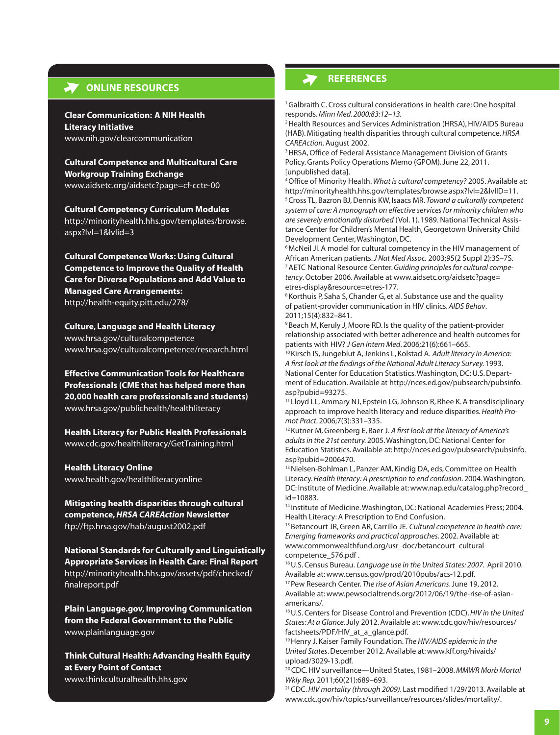## <span id="page-8-0"></span>**ONLINE RESOURCES**

**Clear Communication: A NIH Health Literacy Initiative** [www.nih.gov/clearcommunication](http://www.nih.gov/clearcommunication/)

**Cultural Competence and Multicultural Care Workgroup Training Exchange** [www.aidsetc.org/aidsetc?page=cf-ccte-00](http://www.aidsetc.org/aidsetc?page=cf-ccte-00)

**Cultural Competency Curriculum Modules** [http://minorityhealth.hhs.gov/templates/browse.](http://minorityhealth.hhs.gov/templates/browse.aspx?lvl=1&lvlid=3) [aspx?lvl=1&lvlid=3](http://minorityhealth.hhs.gov/templates/browse.aspx?lvl=1&lvlid=3)

**Cultural Competence Works: Using Cultural Competence to Improve the Quality of Health Care for Diverse Populations and Add Value to Managed Care Arrangements:** <http://health-equity.pitt.edu/278/>

**Culture, Language and Health Literacy** [www.hrsa.gov/culturalcompetence](http://www.hrsa.gov/culturalcompetence) [www.hrsa.gov/culturalcompetence/research.html](http://www.hrsa.gov/culturalcompetence/research.html)

**Effective Communication Tools for Healthcare Professionals (CME that has helped more than 20,000 health care professionals and students)** [www.hrsa.gov/publichealth/healthliteracy](http://www.hrsa.gov/publichealth/healthliteracy/)

**Health Literacy for Public Health Professionals** [www.cdc.gov/healthliteracy/GetTraining.html](http://www.cdc.gov/healthliteracy/GetTraining.html)

**Health Literacy Online** [www.health.gov/healthliteracyonline](http://www.health.gov/healthliteracyonline)

**Mitigating health disparities through cultural competence,** *HRSA CAREAction* **Newsletter** <ftp://ftp.hrsa.gov/hab/august2002.pdf>

**National Standards for Culturally and Linguistically Appropriate Services in Health Care: Final Report** [http://minorityhealth.hhs.gov/assets/pdf/checked/](http://minorityhealth.hhs.gov/assets/pdf/checked/finalreport.pdf) [finalreport.pdf](http://minorityhealth.hhs.gov/assets/pdf/checked/finalreport.pdf)

**Plain<Language.gov>, Improving Communication from the Federal Government to the Public** [www.plainlanguage.gov](http://www.plainlanguage.gov. ) 

**Think Cultural Health: Advancing Health Equity at Every Point of Contact** [www.thinkculturalhealth.hhs.gov](http://www.thinkculturalhealth.hhs.gov) 

# **references**

<sup>1</sup>Galbraith C. Cross cultural considerations in health care: One hospital responds. *Minn Med. 2000;83:12–13.* 

<sup>2</sup> Health Resources and Services Administration (HRSA), HIV/AIDS Bureau (HAB). Mitigating health disparities through cultural competence.*HRSA CAREAction.* August 2002.

<sup>3</sup> HRSA, Office of Federal Assistance Management Division of Grants Policy.Grants Policy Operations Memo (GPOM).June 22, 2011. [unpublished data].

<sup>4</sup>Office of Minority Health.*What is cultural competency?* 2005. Available at: <http://minorityhealth.hhs.gov/templates/browse.aspx?lvl=2&lvlID=11>. <sup>5</sup>Cross TL, Bazron BJ,Dennis KW, Isaacs MR. *Toward a culturally competent system of care: A monograph on effective services for minority children who are severely emotionally disturbed* (Vol. 1). 1989. National Technical Assistance Center for Children's Mental Health,Georgetown University Child Development Center, Washington, DC.

<sup>6</sup>McNeil JI. A model for cultural competency in the HIV management of African American patients. *J Nat Med Assoc.* 2003;95(2 Suppl 2):3S–7S. 7AETC National Resource Center.*Guiding principles for cultural competency*.October 2006.Available at [www.aidsetc.org/aidsetc?page=](http://www.aidsetc.org/aidsetc?page=etres-display&resource=etres-177) [etres-display&resource=etres-177.](http://www.aidsetc.org/aidsetc?page=etres-display&resource=etres-177)

<sup>8</sup> Korthuis P, Saha S, Chander G, et al. Substance use and the quality of patient-provider communication in HIV clinics. *AIDS Behav*. 2011;15(4):832–841.

<sup>9</sup> Beach M, Keruly J, Moore RD. Is the quality of the patient-provider relationship associated with better adherence and health outcomes for patients with HIV? *J Gen Intern Med*. 2006;21(6):661–665.

<sup>10</sup> Kirsch IS, Jungeblut A, Jenkins L, Kolstad A. Adult literacy in America: *A first look at the findings of the National Adult Literacy Survey.* 1993. National Center for Education Statistics. Washington, DC: U.S. Department of Education.Available at [http://nces.ed.gov/pubsearch/pubsinfo.](http://nces.ed.gov/pubsearch/pubsinfo.asp?pubid=93275) [asp?pubid=93275.](http://nces.ed.gov/pubsearch/pubsinfo.asp?pubid=93275)

<sup>11</sup> Lloyd LL, Ammary NJ, Epstein LG, Johnson R, Rhee K. A transdisciplinary approach to improve health literacy and reduce disparities. *Health Promot Pract*. 2006;7(3):331–335.

<sup>12</sup>Kutner M,Greenberg E, Baer J. *A first look at the literacy of America's adults in the 21st century.* 2005. Washington, DC: National Center for Education Statistics.Available at: [http://nces.ed.gov/pubsearch/pubsinfo.](http://nces.ed.gov/pubsearch/pubsinfo.asp?pubid=2006470.) [asp?pubid=2006470.](http://nces.ed.gov/pubsearch/pubsinfo.asp?pubid=2006470.)

13 Nielsen-Bohlman L, Panzer AM, Kindig DA, eds, Committee on Health Literacy.*Health literacy: A prescription to end confusion*. 2004. Washington, DC: Institute of Medicine.Available at:[www.nap.edu/catalog.php?record\\_](http://www.nap.edu/catalog.php?record_id=10883) [id=10883.](http://www.nap.edu/catalog.php?record_id=10883)

<sup>14</sup> Institute of Medicine. Washington, DC: National Academies Press; 2004. Health Literacy:A Prescription to End Confusion.

<sup>15</sup>Betancourt JR,Green AR,Carrillo JE. *Cultural competence in health care: Emerging frameworks and practical approaches.* 2002. Available at: [www.commonwealthfund.org/usr\\_doc/betancourt\\_cultural](http://www.commonwealthfund.org/usr_doc/betancourt_culturalcompetence_576.pdf) [competence\\_576.pd](http://www.commonwealthfund.org/usr_doc/betancourt_culturalcompetence_576.pdf)f .

16U.S. Census Bureau. *Language use in the United States: 2007.* April 2010. Available at:[www.census.gov/prod/2010pubs/acs-12.pdf](http://www.census.gov/prod/2010pubs/acs-12.pdf).

17Pew Research Center. *The rise of Asian Americans*.June 19, 2012. Available at:[www.pewsocialtrends.org/2012/06/19/the-rise-of-asian](http://www.pewsocialtrends.org/2012/06/19/the-rise-of-asian-americans/)[americans/](http://www.pewsocialtrends.org/2012/06/19/the-rise-of-asian-americans/).

18U.S.Centers for Disease Control and Prevention (CDC).*HIV in the United States: At a Glance.* July 2012.Available at:[www.cdc.gov/hiv/resources/](http://www.cdc.gov/hiv/resources/factsheets/PDF/HIV_at_a_glance.pdf) factsheets/PDF/HIV at a glance.pdf.

<sup>19</sup>Henry J. Kaiser Family Foundation. *The HIV/AIDS epidemic in the United States*.December 2012.Available at:[www.kff.org/hivaids/](http://www.kff.org/hivaids/upload/3029-13.pdf) [upload/3029-13.pdf](http://www.kff.org/hivaids/upload/3029-13.pdf).

<sup>20</sup>CDC.HIV surveillance—United States, 1981–2008.*MMWR Morb Mortal Wkly Rep.* 2011;60(21):689–693.

<sup>21</sup> CDC. HIV mortality (through 2009). Last modified 1/29/2013. Available at [www.cdc.gov/hiv/topics/surveillance/resources/slides/mortality/.](http://www.cdc.gov/hiv/topics/surveillance/resources/slides/mortality/)